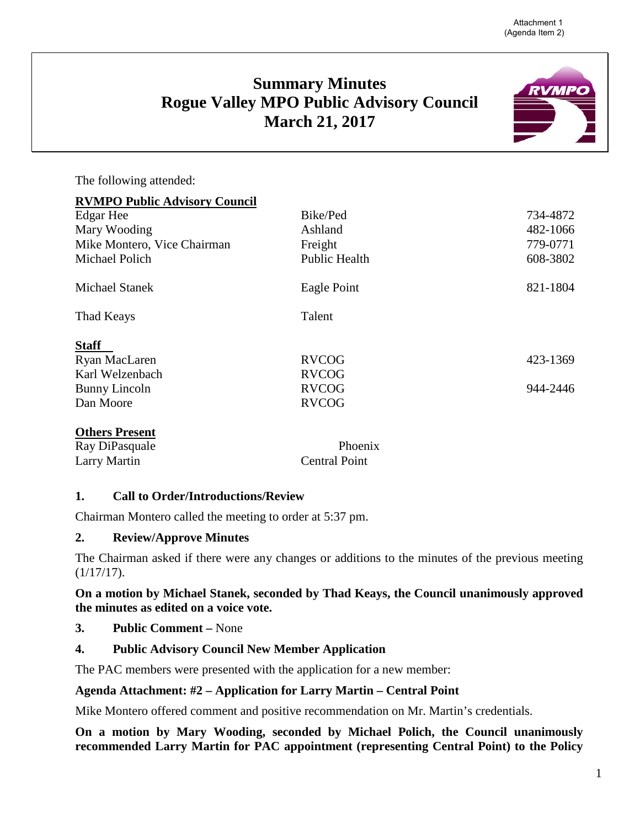# **Summary Minutes Rogue Valley MPO Public Advisory Council March 21, 2017**

The following attended:

| <b>RVMPO Public Advisory Council</b> |                      |          |
|--------------------------------------|----------------------|----------|
| Edgar Hee                            | Bike/Ped             | 734-4872 |
| Mary Wooding                         | Ashland              | 482-1066 |
| Mike Montero, Vice Chairman          | Freight              | 779-0771 |
| Michael Polich                       | <b>Public Health</b> | 608-3802 |
| <b>Michael Stanek</b>                | Eagle Point          | 821-1804 |
| Thad Keays                           | Talent               |          |
| <b>Staff</b>                         |                      |          |
| Ryan MacLaren                        | <b>RVCOG</b>         | 423-1369 |
| Karl Welzenbach                      | <b>RVCOG</b>         |          |
| Bunny Lincoln                        | <b>RVCOG</b>         | 944-2446 |
| Dan Moore                            | <b>RVCOG</b>         |          |
| <b>Othors</b> Prosont                |                      |          |

| <b>OURLE LESSER</b> |                      |  |
|---------------------|----------------------|--|
| Ray DiPasquale      | Phoenix              |  |
| Larry Martin        | <b>Central Point</b> |  |

# **1. Call to Order/Introductions/Review**

Chairman Montero called the meeting to order at 5:37 pm.

#### **2. Review/Approve Minutes**

The Chairman asked if there were any changes or additions to the minutes of the previous meeting (1/17/17).

#### **On a motion by Michael Stanek, seconded by Thad Keays, the Council unanimously approved the minutes as edited on a voice vote.**

**3. Public Comment –** None

# **4. Public Advisory Council New Member Application**

The PAC members were presented with the application for a new member:

#### **Agenda Attachment: #2 – Application for Larry Martin – Central Point**

Mike Montero offered comment and positive recommendation on Mr. Martin's credentials.

**On a motion by Mary Wooding, seconded by Michael Polich, the Council unanimously recommended Larry Martin for PAC appointment (representing Central Point) to the Policy** 

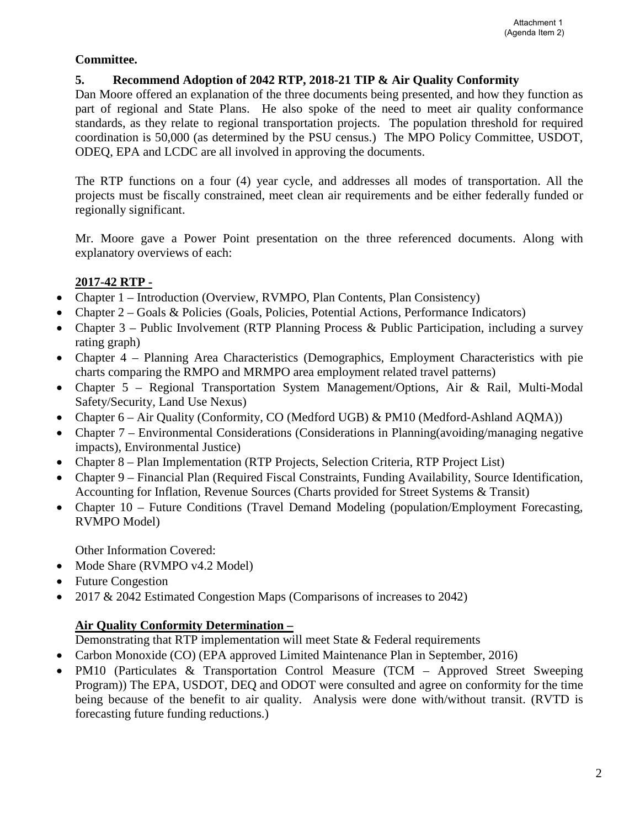# **Committee.**

#### **5. Recommend Adoption of 2042 RTP, 2018-21 TIP & Air Quality Conformity**

Dan Moore offered an explanation of the three documents being presented, and how they function as part of regional and State Plans. He also spoke of the need to meet air quality conformance standards, as they relate to regional transportation projects. The population threshold for required coordination is 50,000 (as determined by the PSU census.) The MPO Policy Committee, USDOT, ODEQ, EPA and LCDC are all involved in approving the documents.

The RTP functions on a four (4) year cycle, and addresses all modes of transportation. All the projects must be fiscally constrained, meet clean air requirements and be either federally funded or regionally significant.

Mr. Moore gave a Power Point presentation on the three referenced documents. Along with explanatory overviews of each:

# **2017-42 RTP -**

- Chapter 1 Introduction (Overview, RVMPO, Plan Contents, Plan Consistency)
- Chapter 2 Goals & Policies (Goals, Policies, Potential Actions, Performance Indicators)
- Chapter 3 Public Involvement (RTP Planning Process & Public Participation, including a survey rating graph)
- Chapter 4 Planning Area Characteristics (Demographics, Employment Characteristics with pie charts comparing the RMPO and MRMPO area employment related travel patterns)
- Chapter 5 Regional Transportation System Management/Options, Air & Rail, Multi-Modal Safety/Security, Land Use Nexus)
- Chapter 6 Air Quality (Conformity, CO (Medford UGB) & PM10 (Medford-Ashland AQMA))
- Chapter 7 Environmental Considerations (Considerations in Planning (avoiding/managing negative impacts), Environmental Justice)
- Chapter 8 Plan Implementation (RTP Projects, Selection Criteria, RTP Project List)
- Chapter 9 Financial Plan (Required Fiscal Constraints, Funding Availability, Source Identification, Accounting for Inflation, Revenue Sources (Charts provided for Street Systems & Transit)
- Chapter 10 Future Conditions (Travel Demand Modeling (population/Employment Forecasting, RVMPO Model)

Other Information Covered:

- Mode Share (RVMPO v4.2 Model)
- Future Congestion
- 2017 & 2042 Estimated Congestion Maps (Comparisons of increases to 2042)

# **Air Quality Conformity Determination –**

Demonstrating that RTP implementation will meet State & Federal requirements

- Carbon Monoxide (CO) (EPA approved Limited Maintenance Plan in September, 2016)
- PM10 (Particulates & Transportation Control Measure (TCM Approved Street Sweeping Program)) The EPA, USDOT, DEQ and ODOT were consulted and agree on conformity for the time being because of the benefit to air quality. Analysis were done with/without transit. (RVTD is forecasting future funding reductions.)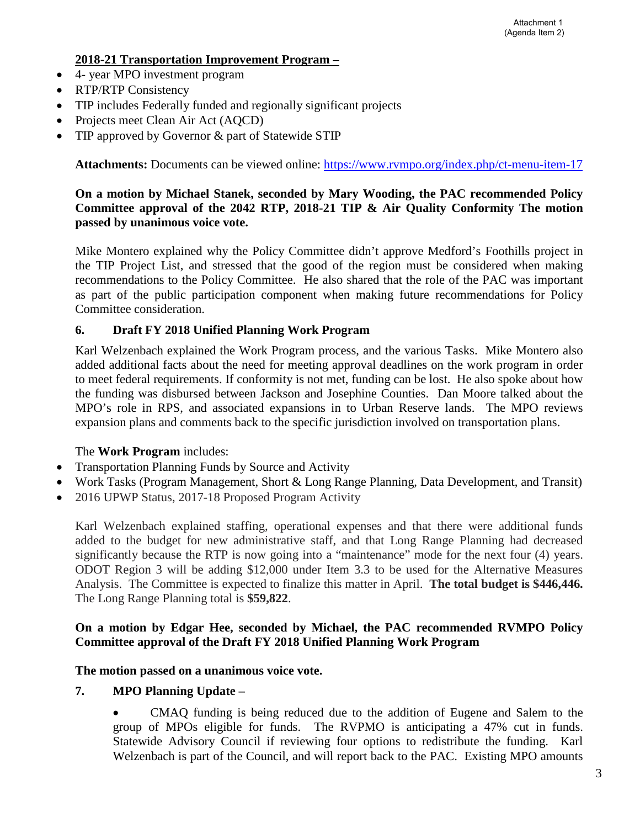#### **2018-21 Transportation Improvement Program –**

- 4- year MPO investment program
- RTP/RTP Consistency
- TIP includes Federally funded and regionally significant projects
- Projects meet Clean Air Act (AQCD)
- TIP approved by Governor & part of Statewide STIP

**Attachments:** Documents can be viewed online:<https://www.rvmpo.org/index.php/ct-menu-item-17>

# **On a motion by Michael Stanek, seconded by Mary Wooding, the PAC recommended Policy Committee approval of the 2042 RTP, 2018-21 TIP & Air Quality Conformity The motion passed by unanimous voice vote.**

Mike Montero explained why the Policy Committee didn't approve Medford's Foothills project in the TIP Project List, and stressed that the good of the region must be considered when making recommendations to the Policy Committee. He also shared that the role of the PAC was important as part of the public participation component when making future recommendations for Policy Committee consideration.

# **6. Draft FY 2018 Unified Planning Work Program**

Karl Welzenbach explained the Work Program process, and the various Tasks. Mike Montero also added additional facts about the need for meeting approval deadlines on the work program in order to meet federal requirements. If conformity is not met, funding can be lost. He also spoke about how the funding was disbursed between Jackson and Josephine Counties. Dan Moore talked about the MPO's role in RPS, and associated expansions in to Urban Reserve lands. The MPO reviews expansion plans and comments back to the specific jurisdiction involved on transportation plans.

# The **Work Program** includes:

- Transportation Planning Funds by Source and Activity
- Work Tasks (Program Management, Short & Long Range Planning, Data Development, and Transit)
- 2016 UPWP Status, 2017-18 Proposed Program Activity

Karl Welzenbach explained staffing, operational expenses and that there were additional funds added to the budget for new administrative staff, and that Long Range Planning had decreased significantly because the RTP is now going into a "maintenance" mode for the next four (4) years. ODOT Region 3 will be adding \$12,000 under Item 3.3 to be used for the Alternative Measures Analysis. The Committee is expected to finalize this matter in April. **The total budget is \$446,446.** The Long Range Planning total is **\$59,822**.

# **On a motion by Edgar Hee, seconded by Michael, the PAC recommended RVMPO Policy Committee approval of the Draft FY 2018 Unified Planning Work Program**

#### **The motion passed on a unanimous voice vote.**

#### **7. MPO Planning Update –**

• CMAQ funding is being reduced due to the addition of Eugene and Salem to the group of MPOs eligible for funds. The RVPMO is anticipating a 47% cut in funds. Statewide Advisory Council if reviewing four options to redistribute the funding. Karl Welzenbach is part of the Council, and will report back to the PAC. Existing MPO amounts